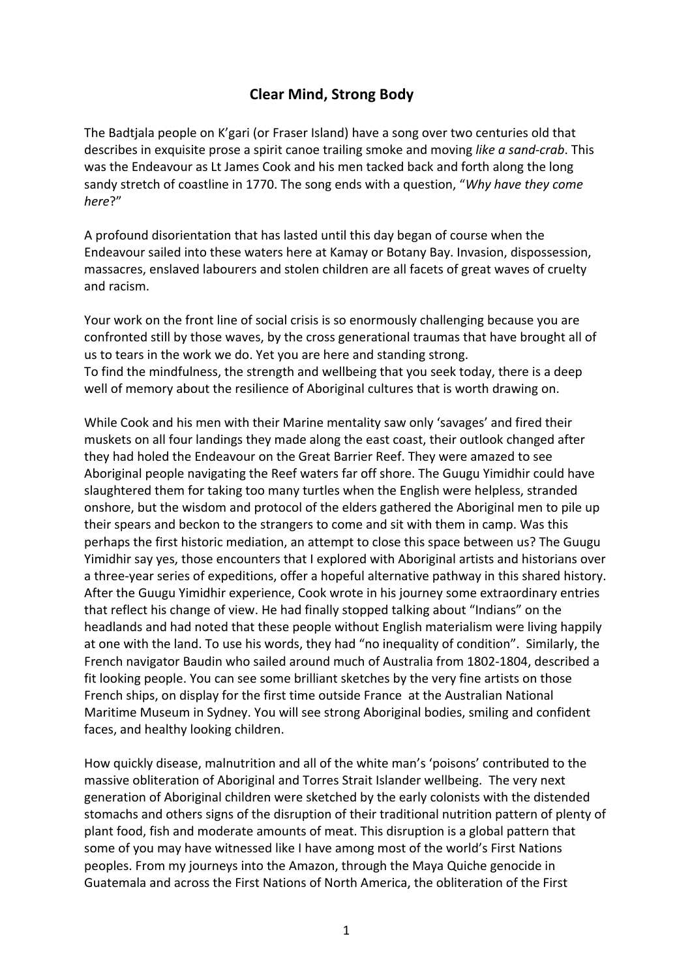## **Clear Mind, Strong Body**

The Badtjala people on K'gari (or Fraser Island) have a song over two centuries old that describes in exquisite prose a spirit canoe trailing smoke and moving *like a sand-crab*. This was the Endeavour as Lt James Cook and his men tacked back and forth along the long sandy stretch of coastline in 1770. The song ends with a question, "Why have they come *here*?"

A profound disorientation that has lasted until this day began of course when the Endeavour sailed into these waters here at Kamay or Botany Bay. Invasion, dispossession, massacres, enslaved labourers and stolen children are all facets of great waves of cruelty and racism.

Your work on the front line of social crisis is so enormously challenging because you are confronted still by those waves, by the cross generational traumas that have brought all of us to tears in the work we do. Yet you are here and standing strong. To find the mindfulness, the strength and wellbeing that you seek today, there is a deep well of memory about the resilience of Aboriginal cultures that is worth drawing on.

While Cook and his men with their Marine mentality saw only 'savages' and fired their muskets on all four landings they made along the east coast, their outlook changed after they had holed the Endeavour on the Great Barrier Reef. They were amazed to see Aboriginal people navigating the Reef waters far off shore. The Guugu Yimidhir could have slaughtered them for taking too many turtles when the English were helpless, stranded onshore, but the wisdom and protocol of the elders gathered the Aboriginal men to pile up their spears and beckon to the strangers to come and sit with them in camp. Was this perhaps the first historic mediation, an attempt to close this space between us? The Guugu Yimidhir say yes, those encounters that I explored with Aboriginal artists and historians over a three-year series of expeditions, offer a hopeful alternative pathway in this shared history. After the Guugu Yimidhir experience, Cook wrote in his journey some extraordinary entries that reflect his change of view. He had finally stopped talking about "Indians" on the headlands and had noted that these people without English materialism were living happily at one with the land. To use his words, they had "no inequality of condition". Similarly, the French navigator Baudin who sailed around much of Australia from 1802-1804, described a fit looking people. You can see some brilliant sketches by the very fine artists on those French ships, on display for the first time outside France at the Australian National Maritime Museum in Sydney. You will see strong Aboriginal bodies, smiling and confident faces, and healthy looking children.

How quickly disease, malnutrition and all of the white man's 'poisons' contributed to the massive obliteration of Aboriginal and Torres Strait Islander wellbeing. The very next generation of Aboriginal children were sketched by the early colonists with the distended stomachs and others signs of the disruption of their traditional nutrition pattern of plenty of plant food, fish and moderate amounts of meat. This disruption is a global pattern that some of you may have witnessed like I have among most of the world's First Nations peoples. From my journeys into the Amazon, through the Maya Quiche genocide in Guatemala and across the First Nations of North America, the obliteration of the First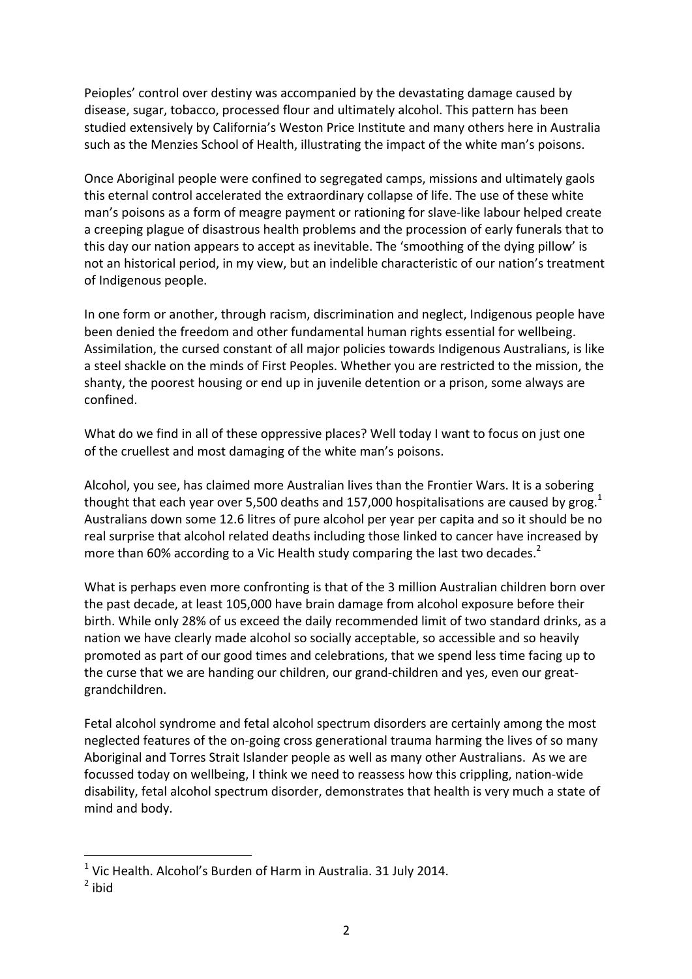Peioples' control over destiny was accompanied by the devastating damage caused by disease, sugar, tobacco, processed flour and ultimately alcohol. This pattern has been studied extensively by California's Weston Price Institute and many others here in Australia such as the Menzies School of Health, illustrating the impact of the white man's poisons.

Once Aboriginal people were confined to segregated camps, missions and ultimately gaols this eternal control accelerated the extraordinary collapse of life. The use of these white man's poisons as a form of meagre payment or rationing for slave-like labour helped create a creeping plague of disastrous health problems and the procession of early funerals that to this day our nation appears to accept as inevitable. The 'smoothing of the dying pillow' is not an historical period, in my view, but an indelible characteristic of our nation's treatment of Indigenous people.

In one form or another, through racism, discrimination and neglect, Indigenous people have been denied the freedom and other fundamental human rights essential for wellbeing. Assimilation, the cursed constant of all major policies towards Indigenous Australians, is like a steel shackle on the minds of First Peoples. Whether you are restricted to the mission, the shanty, the poorest housing or end up in juvenile detention or a prison, some always are confined. 

What do we find in all of these oppressive places? Well today I want to focus on just one of the cruellest and most damaging of the white man's poisons.

Alcohol, you see, has claimed more Australian lives than the Frontier Wars. It is a sobering thought that each year over 5,500 deaths and 157,000 hospitalisations are caused by grog.<sup>1</sup> Australians down some 12.6 litres of pure alcohol per year per capita and so it should be no real surprise that alcohol related deaths including those linked to cancer have increased by more than 60% according to a Vic Health study comparing the last two decades.<sup>2</sup>

What is perhaps even more confronting is that of the 3 million Australian children born over the past decade, at least 105,000 have brain damage from alcohol exposure before their birth. While only 28% of us exceed the daily recommended limit of two standard drinks, as a nation we have clearly made alcohol so socially acceptable, so accessible and so heavily promoted as part of our good times and celebrations, that we spend less time facing up to the curse that we are handing our children, our grand-children and yes, even our greatgrandchildren. 

Fetal alcohol syndrome and fetal alcohol spectrum disorders are certainly among the most neglected features of the on-going cross generational trauma harming the lives of so many Aboriginal and Torres Strait Islander people as well as many other Australians. As we are focussed today on wellbeing, I think we need to reassess how this crippling, nation-wide disability, fetal alcohol spectrum disorder, demonstrates that health is very much a state of mind and body.

 $1$  Vic Health. Alcohol's Burden of Harm in Australia. 31 July 2014.

 $2$  ibid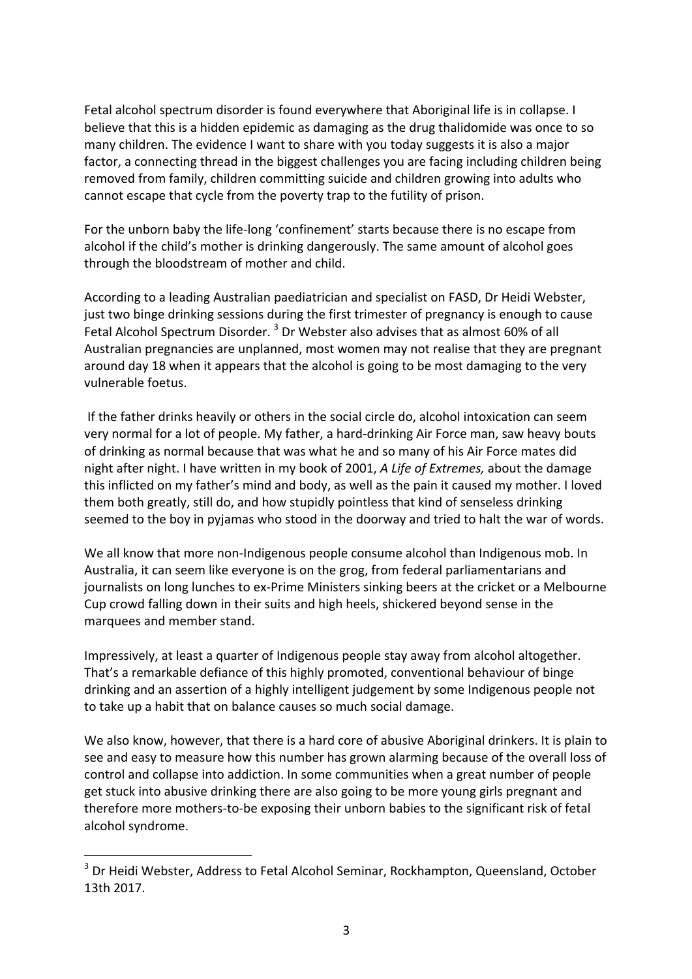Fetal alcohol spectrum disorder is found everywhere that Aboriginal life is in collapse. I believe that this is a hidden epidemic as damaging as the drug thalidomide was once to so many children. The evidence I want to share with you today suggests it is also a major factor, a connecting thread in the biggest challenges you are facing including children being removed from family, children committing suicide and children growing into adults who cannot escape that cycle from the poverty trap to the futility of prison.

For the unborn baby the life-long 'confinement' starts because there is no escape from alcohol if the child's mother is drinking dangerously. The same amount of alcohol goes through the bloodstream of mother and child.

According to a leading Australian paediatrician and specialist on FASD, Dr Heidi Webster, just two binge drinking sessions during the first trimester of pregnancy is enough to cause Fetal Alcohol Spectrum Disorder.<sup>3</sup> Dr Webster also advises that as almost 60% of all Australian pregnancies are unplanned, most women may not realise that they are pregnant around day 18 when it appears that the alcohol is going to be most damaging to the very vulnerable foetus.

If the father drinks heavily or others in the social circle do, alcohol intoxication can seem very normal for a lot of people. My father, a hard-drinking Air Force man, saw heavy bouts of drinking as normal because that was what he and so many of his Air Force mates did night after night. I have written in my book of 2001, *A Life of Extremes*, about the damage this inflicted on my father's mind and body, as well as the pain it caused my mother. I loved them both greatly, still do, and how stupidly pointless that kind of senseless drinking seemed to the boy in pyjamas who stood in the doorway and tried to halt the war of words.

We all know that more non-Indigenous people consume alcohol than Indigenous mob. In Australia, it can seem like everyone is on the grog, from federal parliamentarians and journalists on long lunches to ex-Prime Ministers sinking beers at the cricket or a Melbourne Cup crowd falling down in their suits and high heels, shickered beyond sense in the marquees and member stand.

Impressively, at least a quarter of Indigenous people stay away from alcohol altogether. That's a remarkable defiance of this highly promoted, conventional behaviour of binge drinking and an assertion of a highly intelligent judgement by some Indigenous people not to take up a habit that on balance causes so much social damage.

We also know, however, that there is a hard core of abusive Aboriginal drinkers. It is plain to see and easy to measure how this number has grown alarming because of the overall loss of control and collapse into addiction. In some communities when a great number of people get stuck into abusive drinking there are also going to be more young girls pregnant and therefore more mothers-to-be exposing their unborn babies to the significant risk of fetal alcohol syndrome.

 $3$  Dr Heidi Webster, Address to Fetal Alcohol Seminar, Rockhampton, Queensland, October 13th 2017.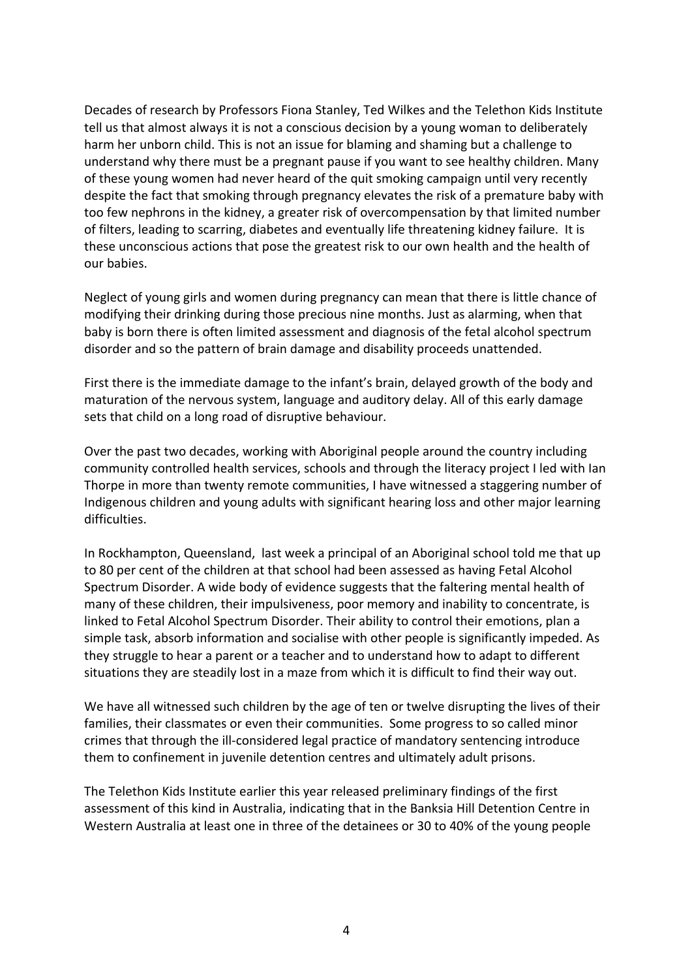Decades of research by Professors Fiona Stanley, Ted Wilkes and the Telethon Kids Institute tell us that almost always it is not a conscious decision by a young woman to deliberately harm her unborn child. This is not an issue for blaming and shaming but a challenge to understand why there must be a pregnant pause if you want to see healthy children. Many of these young women had never heard of the quit smoking campaign until very recently despite the fact that smoking through pregnancy elevates the risk of a premature baby with too few nephrons in the kidney, a greater risk of overcompensation by that limited number of filters, leading to scarring, diabetes and eventually life threatening kidney failure. It is these unconscious actions that pose the greatest risk to our own health and the health of our babies. 

Neglect of young girls and women during pregnancy can mean that there is little chance of modifying their drinking during those precious nine months. Just as alarming, when that baby is born there is often limited assessment and diagnosis of the fetal alcohol spectrum disorder and so the pattern of brain damage and disability proceeds unattended.

First there is the immediate damage to the infant's brain, delayed growth of the body and maturation of the nervous system, language and auditory delay. All of this early damage sets that child on a long road of disruptive behaviour.

Over the past two decades, working with Aboriginal people around the country including community controlled health services, schools and through the literacy project I led with Ian Thorpe in more than twenty remote communities, I have witnessed a staggering number of Indigenous children and young adults with significant hearing loss and other major learning difficulties.

In Rockhampton, Queensland, last week a principal of an Aboriginal school told me that up to 80 per cent of the children at that school had been assessed as having Fetal Alcohol Spectrum Disorder. A wide body of evidence suggests that the faltering mental health of many of these children, their impulsiveness, poor memory and inability to concentrate, is linked to Fetal Alcohol Spectrum Disorder. Their ability to control their emotions, plan a simple task, absorb information and socialise with other people is significantly impeded. As they struggle to hear a parent or a teacher and to understand how to adapt to different situations they are steadily lost in a maze from which it is difficult to find their way out.

We have all witnessed such children by the age of ten or twelve disrupting the lives of their families, their classmates or even their communities. Some progress to so called minor crimes that through the ill-considered legal practice of mandatory sentencing introduce them to confinement in juvenile detention centres and ultimately adult prisons.

The Telethon Kids Institute earlier this year released preliminary findings of the first assessment of this kind in Australia, indicating that in the Banksia Hill Detention Centre in Western Australia at least one in three of the detainees or 30 to 40% of the young people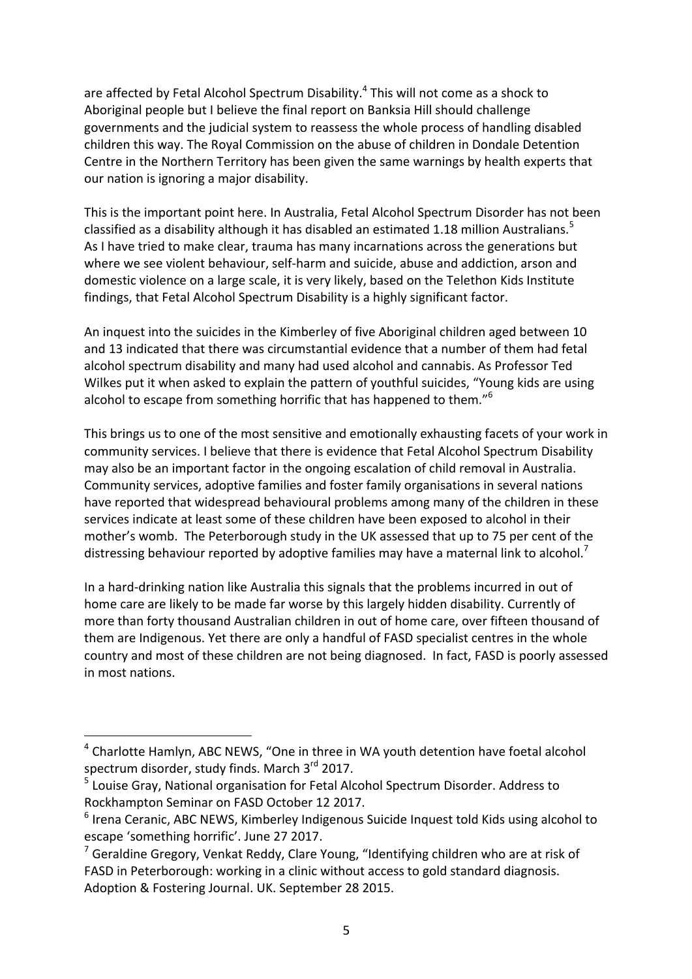are affected by Fetal Alcohol Spectrum Disability.<sup>4</sup> This will not come as a shock to Aboriginal people but I believe the final report on Banksia Hill should challenge governments and the judicial system to reassess the whole process of handling disabled children this way. The Royal Commission on the abuse of children in Dondale Detention Centre in the Northern Territory has been given the same warnings by health experts that our nation is ignoring a major disability.

This is the important point here. In Australia, Fetal Alcohol Spectrum Disorder has not been classified as a disability although it has disabled an estimated 1.18 million Australians.<sup>5</sup> As I have tried to make clear, trauma has many incarnations across the generations but where we see violent behaviour, self-harm and suicide, abuse and addiction, arson and domestic violence on a large scale, it is very likely, based on the Telethon Kids Institute findings, that Fetal Alcohol Spectrum Disability is a highly significant factor.

An inquest into the suicides in the Kimberley of five Aboriginal children aged between 10 and 13 indicated that there was circumstantial evidence that a number of them had fetal alcohol spectrum disability and many had used alcohol and cannabis. As Professor Ted Wilkes put it when asked to explain the pattern of youthful suicides, "Young kids are using alcohol to escape from something horrific that has happened to them."<sup>6</sup>

This brings us to one of the most sensitive and emotionally exhausting facets of your work in community services. I believe that there is evidence that Fetal Alcohol Spectrum Disability may also be an important factor in the ongoing escalation of child removal in Australia. Community services, adoptive families and foster family organisations in several nations have reported that widespread behavioural problems among many of the children in these services indicate at least some of these children have been exposed to alcohol in their mother's womb. The Peterborough study in the UK assessed that up to 75 per cent of the distressing behaviour reported by adoptive families may have a maternal link to alcohol.<sup>7</sup>

In a hard-drinking nation like Australia this signals that the problems incurred in out of home care are likely to be made far worse by this largely hidden disability. Currently of more than forty thousand Australian children in out of home care, over fifteen thousand of them are Indigenous. Yet there are only a handful of FASD specialist centres in the whole country and most of these children are not being diagnosed. In fact, FASD is poorly assessed in most nations.

 $4$  Charlotte Hamlyn, ABC NEWS, "One in three in WA youth detention have foetal alcohol spectrum disorder, study finds. March 3<sup>rd</sup> 2017.

 $<sup>5</sup>$  Louise Gray, National organisation for Fetal Alcohol Spectrum Disorder. Address to</sup> Rockhampton Seminar on FASD October 12 2017.

 $6$  Irena Ceranic, ABC NEWS, Kimberley Indigenous Suicide Inquest told Kids using alcohol to escape 'something horrific'. June 27 2017.

 $<sup>7</sup>$  Geraldine Gregory, Venkat Reddy, Clare Young, "Identifying children who are at risk of</sup> FASD in Peterborough: working in a clinic without access to gold standard diagnosis. Adoption & Fostering Journal. UK. September 28 2015.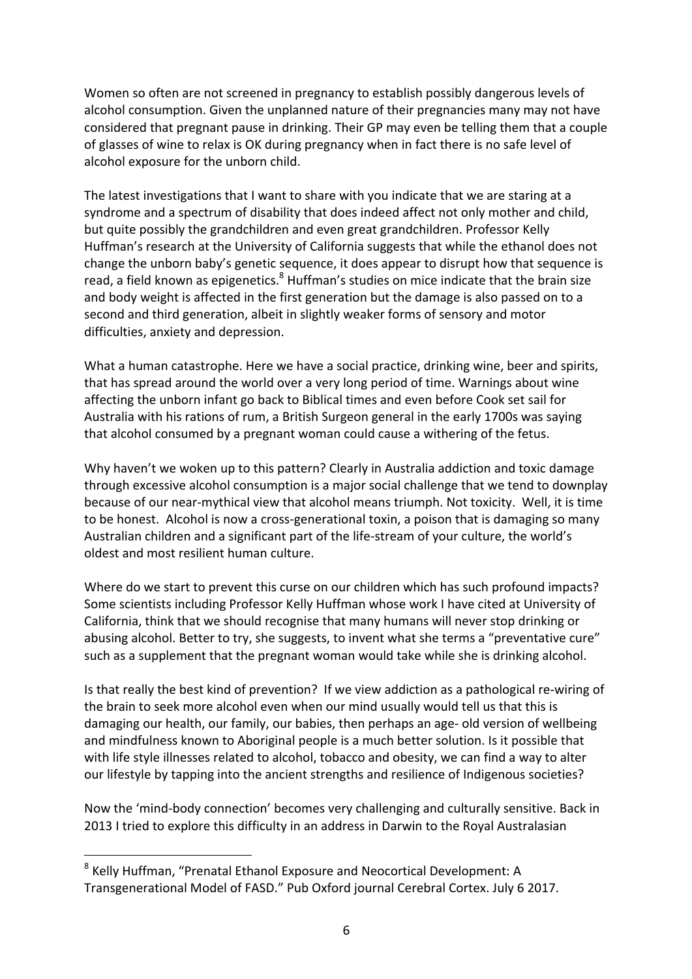Women so often are not screened in pregnancy to establish possibly dangerous levels of alcohol consumption. Given the unplanned nature of their pregnancies many may not have considered that pregnant pause in drinking. Their GP may even be telling them that a couple of glasses of wine to relax is OK during pregnancy when in fact there is no safe level of alcohol exposure for the unborn child.

The latest investigations that I want to share with you indicate that we are staring at a syndrome and a spectrum of disability that does indeed affect not only mother and child, but quite possibly the grandchildren and even great grandchildren. Professor Kelly Huffman's research at the University of California suggests that while the ethanol does not change the unborn baby's genetic sequence, it does appear to disrupt how that sequence is read, a field known as epigenetics. $8$  Huffman's studies on mice indicate that the brain size and body weight is affected in the first generation but the damage is also passed on to a second and third generation, albeit in slightly weaker forms of sensory and motor difficulties, anxiety and depression.

What a human catastrophe. Here we have a social practice, drinking wine, beer and spirits, that has spread around the world over a very long period of time. Warnings about wine affecting the unborn infant go back to Biblical times and even before Cook set sail for Australia with his rations of rum, a British Surgeon general in the early 1700s was saying that alcohol consumed by a pregnant woman could cause a withering of the fetus.

Why haven't we woken up to this pattern? Clearly in Australia addiction and toxic damage through excessive alcohol consumption is a major social challenge that we tend to downplay because of our near-mythical view that alcohol means triumph. Not toxicity. Well, it is time to be honest. Alcohol is now a cross-generational toxin, a poison that is damaging so many Australian children and a significant part of the life-stream of your culture, the world's oldest and most resilient human culture.

Where do we start to prevent this curse on our children which has such profound impacts? Some scientists including Professor Kelly Huffman whose work I have cited at University of California, think that we should recognise that many humans will never stop drinking or abusing alcohol. Better to try, she suggests, to invent what she terms a "preventative cure" such as a supplement that the pregnant woman would take while she is drinking alcohol.

Is that really the best kind of prevention? If we view addiction as a pathological re-wiring of the brain to seek more alcohol even when our mind usually would tell us that this is damaging our health, our family, our babies, then perhaps an age- old version of wellbeing and mindfulness known to Aboriginal people is a much better solution. Is it possible that with life style illnesses related to alcohol, tobacco and obesity, we can find a way to alter our lifestyle by tapping into the ancient strengths and resilience of Indigenous societies?

Now the 'mind-body connection' becomes very challenging and culturally sensitive. Back in 2013 I tried to explore this difficulty in an address in Darwin to the Royal Australasian

 $8$  Kelly Huffman, "Prenatal Ethanol Exposure and Neocortical Development: A Transgenerational Model of FASD." Pub Oxford journal Cerebral Cortex. July 6 2017.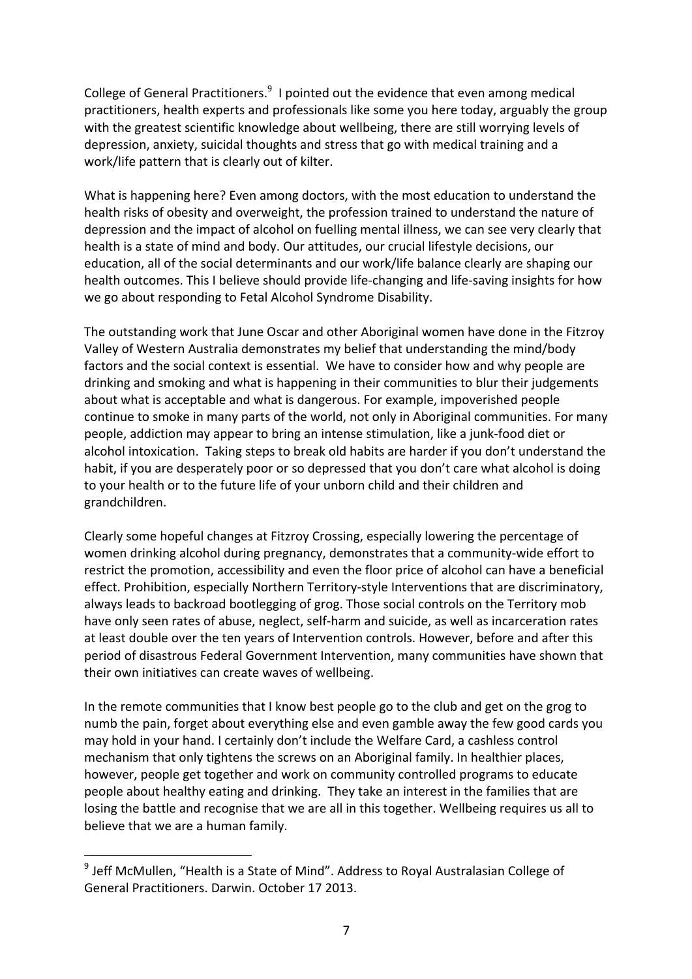College of General Practitioners. $9$  I pointed out the evidence that even among medical practitioners, health experts and professionals like some you here today, arguably the group with the greatest scientific knowledge about wellbeing, there are still worrying levels of depression, anxiety, suicidal thoughts and stress that go with medical training and a work/life pattern that is clearly out of kilter.

What is happening here? Even among doctors, with the most education to understand the health risks of obesity and overweight, the profession trained to understand the nature of depression and the impact of alcohol on fuelling mental illness, we can see very clearly that health is a state of mind and body. Our attitudes, our crucial lifestyle decisions, our education, all of the social determinants and our work/life balance clearly are shaping our health outcomes. This I believe should provide life-changing and life-saving insights for how we go about responding to Fetal Alcohol Syndrome Disability.

The outstanding work that June Oscar and other Aboriginal women have done in the Fitzroy Valley of Western Australia demonstrates my belief that understanding the mind/body factors and the social context is essential. We have to consider how and why people are drinking and smoking and what is happening in their communities to blur their judgements about what is acceptable and what is dangerous. For example, impoverished people continue to smoke in many parts of the world, not only in Aboriginal communities. For many people, addiction may appear to bring an intense stimulation, like a junk-food diet or alcohol intoxication. Taking steps to break old habits are harder if you don't understand the habit, if you are desperately poor or so depressed that you don't care what alcohol is doing to your health or to the future life of your unborn child and their children and grandchildren. 

Clearly some hopeful changes at Fitzroy Crossing, especially lowering the percentage of women drinking alcohol during pregnancy, demonstrates that a community-wide effort to restrict the promotion, accessibility and even the floor price of alcohol can have a beneficial effect. Prohibition, especially Northern Territory-style Interventions that are discriminatory, always leads to backroad bootlegging of grog. Those social controls on the Territory mob have only seen rates of abuse, neglect, self-harm and suicide, as well as incarceration rates at least double over the ten years of Intervention controls. However, before and after this period of disastrous Federal Government Intervention, many communities have shown that their own initiatives can create waves of wellbeing.

In the remote communities that I know best people go to the club and get on the grog to numb the pain, forget about everything else and even gamble away the few good cards you may hold in your hand. I certainly don't include the Welfare Card, a cashless control mechanism that only tightens the screws on an Aboriginal family. In healthier places, however, people get together and work on community controlled programs to educate people about healthy eating and drinking. They take an interest in the families that are losing the battle and recognise that we are all in this together. Wellbeing requires us all to believe that we are a human family.

 $9$  Jeff McMullen, "Health is a State of Mind". Address to Royal Australasian College of General Practitioners. Darwin. October 17 2013.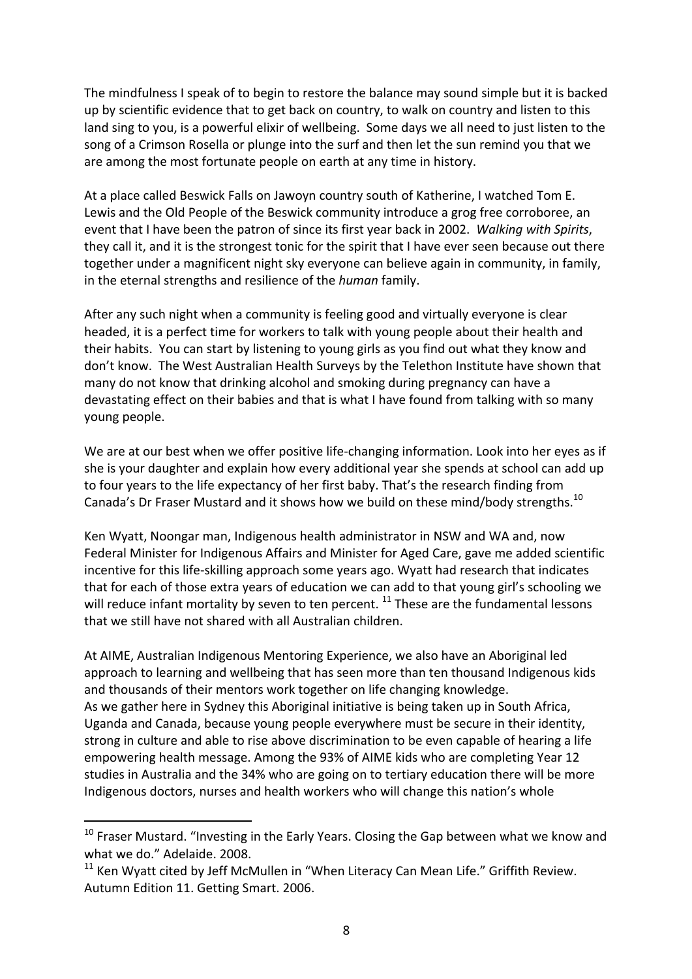The mindfulness I speak of to begin to restore the balance may sound simple but it is backed up by scientific evidence that to get back on country, to walk on country and listen to this land sing to you, is a powerful elixir of wellbeing. Some days we all need to just listen to the song of a Crimson Rosella or plunge into the surf and then let the sun remind you that we are among the most fortunate people on earth at any time in history.

At a place called Beswick Falls on Jawoyn country south of Katherine, I watched Tom E. Lewis and the Old People of the Beswick community introduce a grog free corroboree, an event that I have been the patron of since its first year back in 2002. *Walking with Spirits*, they call it, and it is the strongest tonic for the spirit that I have ever seen because out there together under a magnificent night sky everyone can believe again in community, in family, in the eternal strengths and resilience of the *human* family.

After any such night when a community is feeling good and virtually everyone is clear headed, it is a perfect time for workers to talk with young people about their health and their habits. You can start by listening to young girls as you find out what they know and don't know. The West Australian Health Surveys by the Telethon Institute have shown that many do not know that drinking alcohol and smoking during pregnancy can have a devastating effect on their babies and that is what I have found from talking with so many young people.

We are at our best when we offer positive life-changing information. Look into her eyes as if she is your daughter and explain how every additional year she spends at school can add up to four years to the life expectancy of her first baby. That's the research finding from Canada's Dr Fraser Mustard and it shows how we build on these mind/body strengths.<sup>10</sup>

Ken Wyatt, Noongar man, Indigenous health administrator in NSW and WA and, now Federal Minister for Indigenous Affairs and Minister for Aged Care, gave me added scientific incentive for this life-skilling approach some years ago. Wyatt had research that indicates that for each of those extra years of education we can add to that young girl's schooling we will reduce infant mortality by seven to ten percent.  $^{11}$  These are the fundamental lessons that we still have not shared with all Australian children.

At AIME, Australian Indigenous Mentoring Experience, we also have an Aboriginal led approach to learning and wellbeing that has seen more than ten thousand Indigenous kids and thousands of their mentors work together on life changing knowledge. As we gather here in Sydney this Aboriginal initiative is being taken up in South Africa, Uganda and Canada, because young people everywhere must be secure in their identity, strong in culture and able to rise above discrimination to be even capable of hearing a life empowering health message. Among the 93% of AIME kids who are completing Year 12 studies in Australia and the 34% who are going on to tertiary education there will be more Indigenous doctors, nurses and health workers who will change this nation's whole

 $10$  Fraser Mustard. "Investing in the Early Years. Closing the Gap between what we know and what we do." Adelaide. 2008.

 $11$  Ken Wyatt cited by Jeff McMullen in "When Literacy Can Mean Life." Griffith Review. Autumn Edition 11. Getting Smart. 2006.